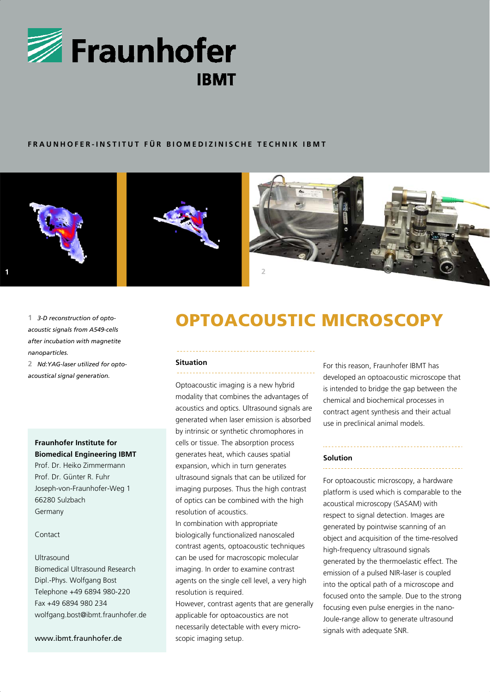

# **FRAUNHOFER-INSTITUT FÜR BIOMEDIZINISCHE TECHNIK IBMT**



1 3-D reconstruction of opto*acoustic signals from A549-cells after incubation with magnetite nanoparticles.*

**2** *Nd:YAG-laser utilized for optoacoustical signal generation.*

# **Fraunhofer Institute for Biomedical Engineering IBMT**

Prof. Dr. Heiko Zimmermann Prof. Dr. Günter R. Fuhr Joseph-von-Fraunhofer-Weg 1 66280 Sulzbach Germany

# Contact

### Ultrasound

Biomedical Ultrasound Research Dipl.-Phys. Wolfgang Bost Telephone +49 6894 980-220 Fax +49 6894 980 234 wolfgang.bost@ibmt.fraunhofer.de

### www.ibmt.fraunhofer.de

# *<u>OPTOACOUSTIC MICROSCOPY</u>*

#### **Situation**  . . . . . . . . .

Optoacoustic imaging is a new hybrid modality that combines the advantages of acoustics and optics. Ultrasound signals are generated when laser emission is absorbed by intrinsic or synthetic chromophores in cells or tissue. The absorption process generates heat, which causes spatial expansion, which in turn generates ultrasound signals that can be utilized for imaging purposes. Thus the high contrast of optics can be combined with the high resolution of acoustics.

In combination with appropriate biologically functionalized nanoscaled contrast agents, optoacoustic techniques can be used for macroscopic molecular imaging. In order to examine contrast agents on the single cell level, a very high resolution is required.

However, contrast agents that are generally applicable for optoacoustics are not necessarily detectable with every microscopic imaging setup.

For this reason, Fraunhofer IBMT has developed an optoacoustic microscope that is intended to bridge the gap between the chemical and biochemical processes in contract agent synthesis and their actual use in preclinical animal models.

### **Solution**

For optoacoustic microscopy, a hardware platform is used which is comparable to the acoustical microscopy (SASAM) with respect to signal detection. Images are generated by pointwise scanning of an object and acquisition of the time-resolved high-frequency ultrasound signals generated by the thermoelastic effect. The emission of a pulsed NIR-laser is coupled into the optical path of a microscope and focused onto the sample. Due to the strong focusing even pulse energies in the nano-Joule-range allow to generate ultrasound signals with adequate SNR.